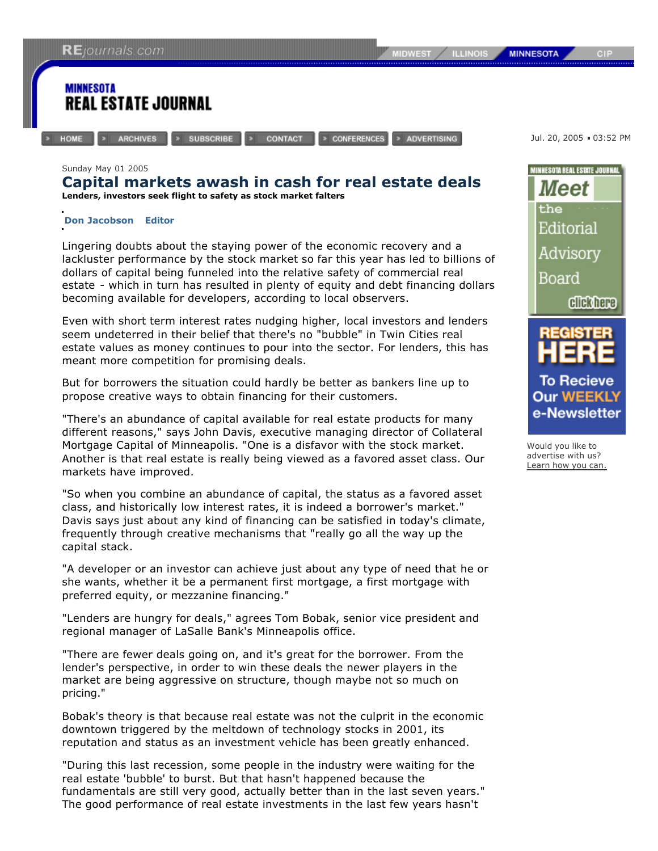**ILLINOIS MIDWEST** 

**MINNESOTA** 

## CIP

## **MINNESOTA REAL ESTATE JOURNAL**

**HOME** 

» SUBSCRIBE **ARCHIVES** 

CONTACT

> CONFERENCES > ADVERTISING Jul. 20, 2005 . 03:52 PM

## Sunday May 01 2005

## **Capital markets awash in cash for real estate deals Lenders, investors seek flight to safety as stock market falters**

**Don Jacobson Editor**

Lingering doubts about the staying power of the economic recovery and a lackluster performance by the stock market so far this year has led to billions of dollars of capital being funneled into the relative safety of commercial real estate - which in turn has resulted in plenty of equity and debt financing dollars becoming available for developers, according to local observers.

Even with short term interest rates nudging higher, local investors and lenders seem undeterred in their belief that there's no "bubble" in Twin Cities real estate values as money continues to pour into the sector. For lenders, this has meant more competition for promising deals.

But for borrowers the situation could hardly be better as bankers line up to propose creative ways to obtain financing for their customers.

"There's an abundance of capital available for real estate products for many different reasons," says John Davis, executive managing director of Collateral Mortgage Capital of Minneapolis. "One is a disfavor with the stock market. Another is that real estate is really being viewed as a favored asset class. Our markets have improved.

"So when you combine an abundance of capital, the status as a favored asset class, and historically low interest rates, it is indeed a borrower's market." Davis says just about any kind of financing can be satisfied in today's climate, frequently through creative mechanisms that "really go all the way up the capital stack.

"A developer or an investor can achieve just about any type of need that he or she wants, whether it be a permanent first mortgage, a first mortgage with preferred equity, or mezzanine financing."

"Lenders are hungry for deals," agrees Tom Bobak, senior vice president and regional manager of LaSalle Bank's Minneapolis office.

"There are fewer deals going on, and it's great for the borrower. From the lender's perspective, in order to win these deals the newer players in the market are being aggressive on structure, though maybe not so much on pricing."

Bobak's theory is that because real estate was not the culprit in the economic downtown triggered by the meltdown of technology stocks in 2001, its reputation and status as an investment vehicle has been greatly enhanced.

"During this last recession, some people in the industry were waiting for the real estate 'bubble' to burst. But that hasn't happened because the fundamentals are still very good, actually better than in the last seven years." The good performance of real estate investments in the last few years hasn't





Would you like to advertise with us? Learn how you can.